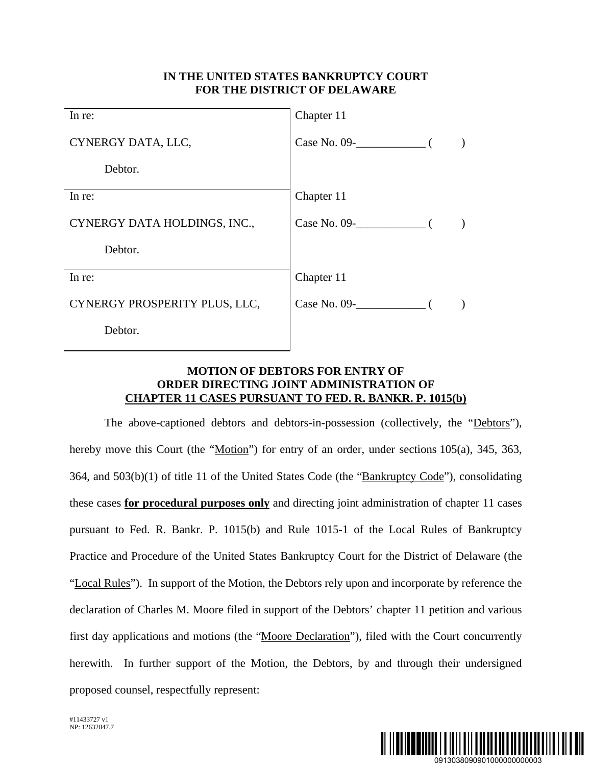### **IN THE UNITED STATES BANKRUPTCY COURT FOR THE DISTRICT OF DELAWARE**

| In re:                        | Chapter 11             |
|-------------------------------|------------------------|
| CYNERGY DATA, LLC,            | Case No. $09$ -<br>$($ |
| Debtor.                       |                        |
| In re:                        | Chapter 11             |
| CYNERGY DATA HOLDINGS, INC.,  | Case No. 09-           |
| Debtor.                       |                        |
| In re:                        | Chapter 11             |
| CYNERGY PROSPERITY PLUS, LLC, | Case No. 09-           |
| Debtor.                       |                        |

# **MOTION OF DEBTORS FOR ENTRY OF ORDER DIRECTING JOINT ADMINISTRATION OF CHAPTER 11 CASES PURSUANT TO FED. R. BANKR. P. 1015(b)**

The above-captioned debtors and debtors-in-possession (collectively, the "Debtors"), hereby move this Court (the "<u>Motion</u>") for entry of an order, under sections 105(a), 345, 363, 364, and 503(b)(1) of title 11 of the United States Code (the "Bankruptcy Code"), consolidating these cases **for procedural purposes only** and directing joint administration of chapter 11 cases pursuant to Fed. R. Bankr. P. 1015(b) and Rule 1015-1 of the Local Rules of Bankruptcy Practice and Procedure of the United States Bankruptcy Court for the District of Delaware (the "Local Rules"). In support of the Motion, the Debtors rely upon and incorporate by reference the declaration of Charles M. Moore filed in support of the Debtors' chapter 11 petition and various first day applications and motions (the "Moore Declaration"), filed with the Court concurrently herewith. In further support of the Motion, the Debtors, by and through their undersigned proposed counsel, respectfully represent:

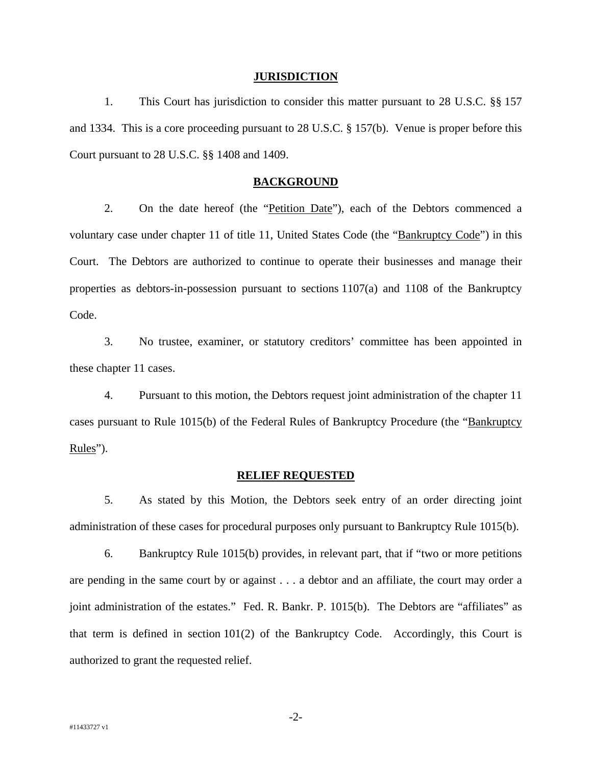#### **JURISDICTION**

1. This Court has jurisdiction to consider this matter pursuant to 28 U.S.C. §§ 157 and 1334. This is a core proceeding pursuant to 28 U.S.C. § 157(b). Venue is proper before this Court pursuant to 28 U.S.C. §§ 1408 and 1409.

#### **BACKGROUND**

2. On the date hereof (the "Petition Date"), each of the Debtors commenced a voluntary case under chapter 11 of title 11, United States Code (the "Bankruptcy Code") in this Court. The Debtors are authorized to continue to operate their businesses and manage their properties as debtors-in-possession pursuant to sections  $1107(a)$  and  $1108$  of the Bankruptcy Code.

3. No trustee, examiner, or statutory creditors' committee has been appointed in these chapter 11 cases.

4. Pursuant to this motion, the Debtors request joint administration of the chapter 11 cases pursuant to Rule 1015(b) of the Federal Rules of Bankruptcy Procedure (the "Bankruptcy Rules").

#### **RELIEF REQUESTED**

5. As stated by this Motion, the Debtors seek entry of an order directing joint administration of these cases for procedural purposes only pursuant to Bankruptcy Rule 1015(b).

6. Bankruptcy Rule 1015(b) provides, in relevant part, that if "two or more petitions are pending in the same court by or against . . . a debtor and an affiliate, the court may order a joint administration of the estates." Fed. R. Bankr. P. 1015(b). The Debtors are "affiliates" as that term is defined in section 101(2) of the Bankruptcy Code. Accordingly, this Court is authorized to grant the requested relief.

-2-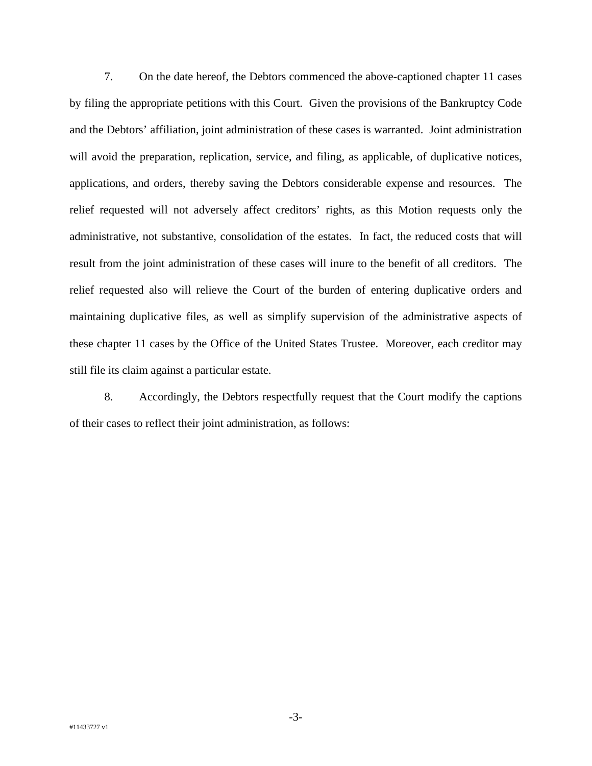7. On the date hereof, the Debtors commenced the above-captioned chapter 11 cases by filing the appropriate petitions with this Court. Given the provisions of the Bankruptcy Code and the Debtors' affiliation, joint administration of these cases is warranted. Joint administration will avoid the preparation, replication, service, and filing, as applicable, of duplicative notices, applications, and orders, thereby saving the Debtors considerable expense and resources. The relief requested will not adversely affect creditors' rights, as this Motion requests only the administrative, not substantive, consolidation of the estates. In fact, the reduced costs that will result from the joint administration of these cases will inure to the benefit of all creditors. The relief requested also will relieve the Court of the burden of entering duplicative orders and maintaining duplicative files, as well as simplify supervision of the administrative aspects of these chapter 11 cases by the Office of the United States Trustee. Moreover, each creditor may still file its claim against a particular estate.

8. Accordingly, the Debtors respectfully request that the Court modify the captions of their cases to reflect their joint administration, as follows: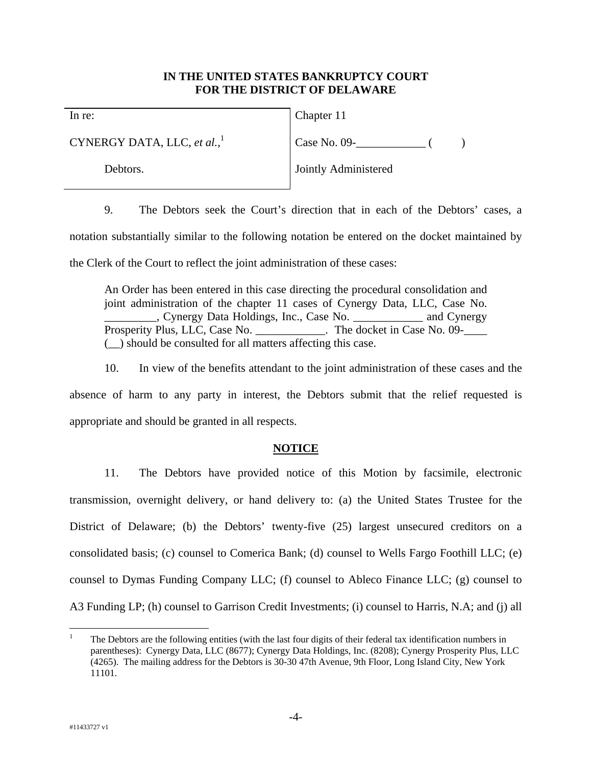### **IN THE UNITED STATES BANKRUPTCY COURT FOR THE DISTRICT OF DELAWARE**

In re:

CYNERGY DATA, LLC, *et al.*, 1

Debtors.

Chapter 11

 $Case No. 09 -$  ( )

Jointly Administered

9. The Debtors seek the Court's direction that in each of the Debtors' cases, a notation substantially similar to the following notation be entered on the docket maintained by the Clerk of the Court to reflect the joint administration of these cases:

An Order has been entered in this case directing the procedural consolidation and joint administration of the chapter 11 cases of Cynergy Data, LLC, Case No. \_\_\_\_\_\_\_\_\_, Cynergy Data Holdings, Inc., Case No. \_\_\_\_\_\_\_\_\_\_\_\_ and Cynergy Prosperity Plus, LLC, Case No. \_\_\_\_\_\_\_\_\_\_\_\_. The docket in Case No. 09-\_\_\_\_ (\_\_) should be consulted for all matters affecting this case.

10. In view of the benefits attendant to the joint administration of these cases and the absence of harm to any party in interest, the Debtors submit that the relief requested is appropriate and should be granted in all respects.

# **NOTICE**

11. The Debtors have provided notice of this Motion by facsimile, electronic transmission, overnight delivery, or hand delivery to: (a) the United States Trustee for the District of Delaware; (b) the Debtors' twenty-five (25) largest unsecured creditors on a consolidated basis; (c) counsel to Comerica Bank; (d) counsel to Wells Fargo Foothill LLC; (e) counsel to Dymas Funding Company LLC; (f) counsel to Ableco Finance LLC; (g) counsel to A3 Funding LP; (h) counsel to Garrison Credit Investments; (i) counsel to Harris, N.A; and (j) all

 $\frac{1}{1}$  The Debtors are the following entities (with the last four digits of their federal tax identification numbers in parentheses): Cynergy Data, LLC (8677); Cynergy Data Holdings, Inc. (8208); Cynergy Prosperity Plus, LLC (4265). The mailing address for the Debtors is 30-30 47th Avenue, 9th Floor, Long Island City, New York 11101.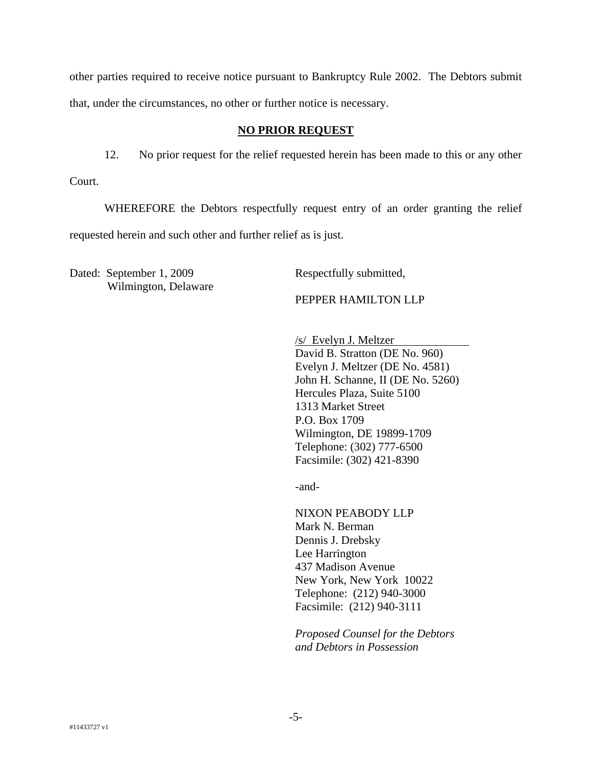other parties required to receive notice pursuant to Bankruptcy Rule 2002. The Debtors submit that, under the circumstances, no other or further notice is necessary.

#### **NO PRIOR REQUEST**

12. No prior request for the relief requested herein has been made to this or any other

Court.

WHEREFORE the Debtors respectfully request entry of an order granting the relief requested herein and such other and further relief as is just.

Dated: September 1, 2009 Wilmington, Delaware Respectfully submitted,

### PEPPER HAMILTON LLP

/s/ Evelyn J. Meltzer

David B. Stratton (DE No. 960) Evelyn J. Meltzer (DE No. 4581) John H. Schanne, II (DE No. 5260) Hercules Plaza, Suite 5100 1313 Market Street P.O. Box 1709 Wilmington, DE 19899-1709 Telephone: (302) 777-6500 Facsimile: (302) 421-8390

-and-

NIXON PEABODY LLP Mark N. Berman Dennis J. Drebsky Lee Harrington 437 Madison Avenue New York, New York 10022 Telephone: (212) 940-3000 Facsimile: (212) 940-3111

*Proposed Counsel for the Debtors and Debtors in Possession*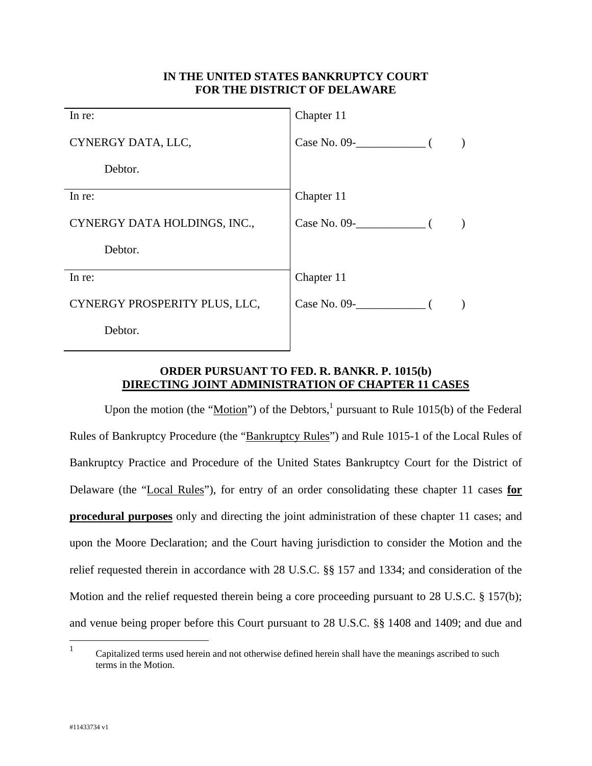### **IN THE UNITED STATES BANKRUPTCY COURT FOR THE DISTRICT OF DELAWARE**

| In re:                        | Chapter 11   |
|-------------------------------|--------------|
| CYNERGY DATA, LLC,            |              |
| Debtor.                       |              |
| In re:                        | Chapter 11   |
| CYNERGY DATA HOLDINGS, INC.,  | Case No. 09- |
| Debtor.                       |              |
| In re:                        | Chapter 11   |
| CYNERGY PROSPERITY PLUS, LLC, | Case No. 09- |
| Debtor.                       |              |

# **ORDER PURSUANT TO FED. R. BANKR. P. 1015(b) DIRECTING JOINT ADMINISTRATION OF CHAPTER 11 CASES**

Upon the motion (the "Motion") of the Debtors,<sup>1</sup> pursuant to Rule 1015(b) of the Federal Rules of Bankruptcy Procedure (the "Bankruptcy Rules") and Rule 1015-1 of the Local Rules of Bankruptcy Practice and Procedure of the United States Bankruptcy Court for the District of Delaware (the "Local Rules"), for entry of an order consolidating these chapter 11 cases **for procedural purposes** only and directing the joint administration of these chapter 11 cases; and upon the Moore Declaration; and the Court having jurisdiction to consider the Motion and the relief requested therein in accordance with 28 U.S.C. §§ 157 and 1334; and consideration of the Motion and the relief requested therein being a core proceeding pursuant to 28 U.S.C. § 157(b); and venue being proper before this Court pursuant to 28 U.S.C. §§ 1408 and 1409; and due and

 $\frac{1}{1}$  Capitalized terms used herein and not otherwise defined herein shall have the meanings ascribed to such terms in the Motion.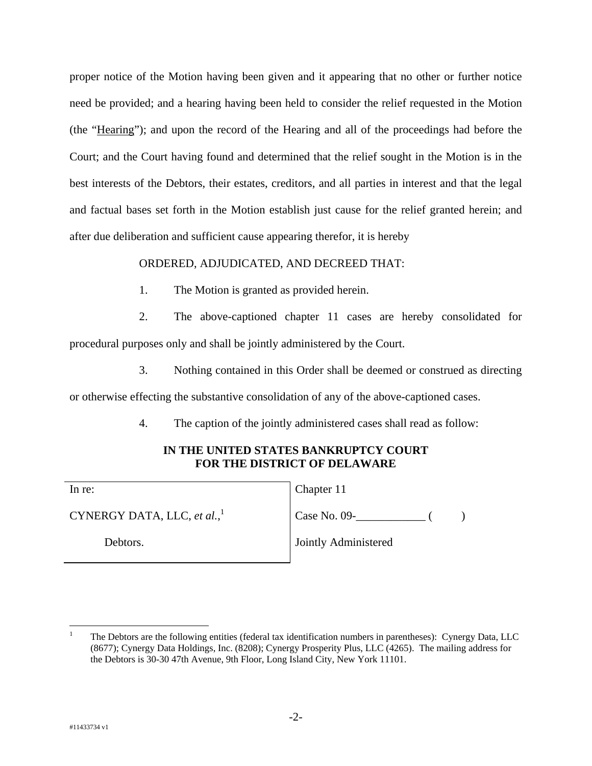proper notice of the Motion having been given and it appearing that no other or further notice need be provided; and a hearing having been held to consider the relief requested in the Motion (the "Hearing"); and upon the record of the Hearing and all of the proceedings had before the Court; and the Court having found and determined that the relief sought in the Motion is in the best interests of the Debtors, their estates, creditors, and all parties in interest and that the legal and factual bases set forth in the Motion establish just cause for the relief granted herein; and after due deliberation and sufficient cause appearing therefor, it is hereby

# ORDERED, ADJUDICATED, AND DECREED THAT:

1. The Motion is granted as provided herein.

2. The above-captioned chapter 11 cases are hereby consolidated for procedural purposes only and shall be jointly administered by the Court.

3. Nothing contained in this Order shall be deemed or construed as directing

or otherwise effecting the substantive consolidation of any of the above-captioned cases.

4. The caption of the jointly administered cases shall read as follow:

# **IN THE UNITED STATES BANKRUPTCY COURT FOR THE DISTRICT OF DELAWARE**

In re:

 $\overline{a}$ 

CYNERGY DATA, LLC, *et al.*, 1

Debtors.

Chapter 11

 $Case No. 09 -$  ( )

Jointly Administered

<sup>1</sup> The Debtors are the following entities (federal tax identification numbers in parentheses): Cynergy Data, LLC (8677); Cynergy Data Holdings, Inc. (8208); Cynergy Prosperity Plus, LLC (4265). The mailing address for the Debtors is 30-30 47th Avenue, 9th Floor, Long Island City, New York 11101.